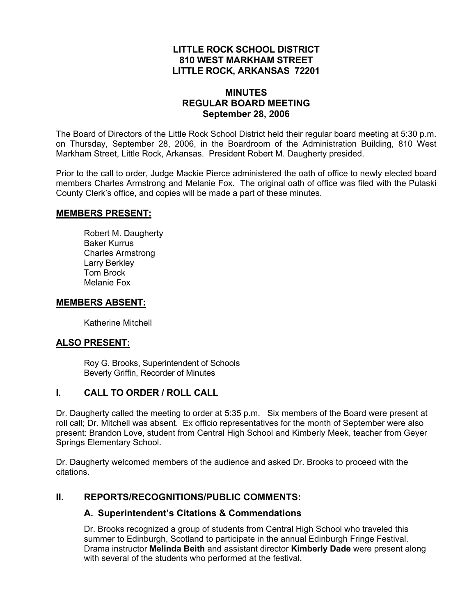## **LITTLE ROCK SCHOOL DISTRICT 810 WEST MARKHAM STREET LITTLE ROCK, ARKANSAS 72201**

#### **MINUTES REGULAR BOARD MEETING September 28, 2006**

The Board of Directors of the Little Rock School District held their regular board meeting at 5:30 p.m. on Thursday, September 28, 2006, in the Boardroom of the Administration Building, 810 West Markham Street, Little Rock, Arkansas. President Robert M. Daugherty presided.

Prior to the call to order, Judge Mackie Pierce administered the oath of office to newly elected board members Charles Armstrong and Melanie Fox. The original oath of office was filed with the Pulaski County Clerk's office, and copies will be made a part of these minutes.

#### **MEMBERS PRESENT:**

Robert M. Daugherty Baker Kurrus Charles Armstrong Larry Berkley Tom Brock Melanie Fox

#### **MEMBERS ABSENT:**

Katherine Mitchell

## **ALSO PRESENT:**

 Roy G. Brooks, Superintendent of Schools Beverly Griffin, Recorder of Minutes

## **I. CALL TO ORDER / ROLL CALL**

Dr. Daugherty called the meeting to order at 5:35 p.m. Six members of the Board were present at roll call; Dr. Mitchell was absent. Ex officio representatives for the month of September were also present: Brandon Love, student from Central High School and Kimberly Meek, teacher from Geyer Springs Elementary School.

Dr. Daugherty welcomed members of the audience and asked Dr. Brooks to proceed with the citations.

## **II. REPORTS/RECOGNITIONS/PUBLIC COMMENTS:**

## **A. Superintendent's Citations & Commendations**

Dr. Brooks recognized a group of students from Central High School who traveled this summer to Edinburgh, Scotland to participate in the annual Edinburgh Fringe Festival. Drama instructor **Melinda Beith** and assistant director **Kimberly Dade** were present along with several of the students who performed at the festival.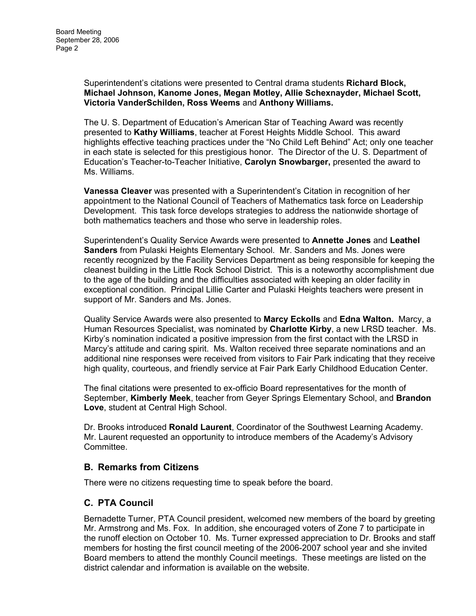Superintendent's citations were presented to Central drama students **Richard Block, Michael Johnson, Kanome Jones, Megan Motley, Allie Schexnayder, Michael Scott, Victoria VanderSchilden, Ross Weems** and **Anthony Williams.** 

The U. S. Department of Education's American Star of Teaching Award was recently presented to **Kathy Williams**, teacher at Forest Heights Middle School. This award highlights effective teaching practices under the "No Child Left Behind" Act; only one teacher in each state is selected for this prestigious honor. The Director of the U. S. Department of Education's Teacher-to-Teacher Initiative, **Carolyn Snowbarger,** presented the award to Ms. Williams.

**Vanessa Cleaver** was presented with a Superintendent's Citation in recognition of her appointment to the National Council of Teachers of Mathematics task force on Leadership Development. This task force develops strategies to address the nationwide shortage of both mathematics teachers and those who serve in leadership roles.

Superintendent's Quality Service Awards were presented to **Annette Jones** and **Leathel Sanders** from Pulaski Heights Elementary School. Mr. Sanders and Ms. Jones were recently recognized by the Facility Services Department as being responsible for keeping the cleanest building in the Little Rock School District. This is a noteworthy accomplishment due to the age of the building and the difficulties associated with keeping an older facility in exceptional condition. Principal Lillie Carter and Pulaski Heights teachers were present in support of Mr. Sanders and Ms. Jones.

Quality Service Awards were also presented to **Marcy Eckolls** and **Edna Walton.** Marcy, a Human Resources Specialist, was nominated by **Charlotte Kirby**, a new LRSD teacher. Ms. Kirby's nomination indicated a positive impression from the first contact with the LRSD in Marcy's attitude and caring spirit. Ms. Walton received three separate nominations and an additional nine responses were received from visitors to Fair Park indicating that they receive high quality, courteous, and friendly service at Fair Park Early Childhood Education Center.

The final citations were presented to ex-officio Board representatives for the month of September, **Kimberly Meek**, teacher from Geyer Springs Elementary School, and **Brandon Love**, student at Central High School.

Dr. Brooks introduced **Ronald Laurent**, Coordinator of the Southwest Learning Academy. Mr. Laurent requested an opportunity to introduce members of the Academy's Advisory Committee.

## **B. Remarks from Citizens**

There were no citizens requesting time to speak before the board.

## **C. PTA Council**

Bernadette Turner, PTA Council president, welcomed new members of the board by greeting Mr. Armstrong and Ms. Fox. In addition, she encouraged voters of Zone 7 to participate in the runoff election on October 10. Ms. Turner expressed appreciation to Dr. Brooks and staff members for hosting the first council meeting of the 2006-2007 school year and she invited Board members to attend the monthly Council meetings. These meetings are listed on the district calendar and information is available on the website.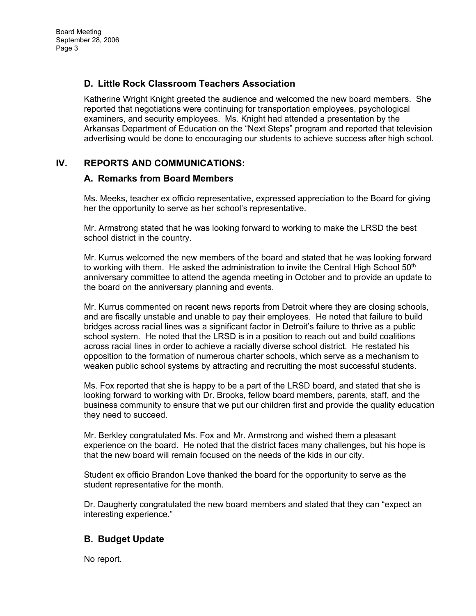# **D. Little Rock Classroom Teachers Association**

Katherine Wright Knight greeted the audience and welcomed the new board members. She reported that negotiations were continuing for transportation employees, psychological examiners, and security employees. Ms. Knight had attended a presentation by the Arkansas Department of Education on the "Next Steps" program and reported that television advertising would be done to encouraging our students to achieve success after high school.

# **IV. REPORTS AND COMMUNICATIONS:**

#### **A. Remarks from Board Members**

Ms. Meeks, teacher ex officio representative, expressed appreciation to the Board for giving her the opportunity to serve as her school's representative.

Mr. Armstrong stated that he was looking forward to working to make the LRSD the best school district in the country.

Mr. Kurrus welcomed the new members of the board and stated that he was looking forward to working with them. He asked the administration to invite the Central High School  $50<sup>th</sup>$ anniversary committee to attend the agenda meeting in October and to provide an update to the board on the anniversary planning and events.

Mr. Kurrus commented on recent news reports from Detroit where they are closing schools, and are fiscally unstable and unable to pay their employees. He noted that failure to build bridges across racial lines was a significant factor in Detroit's failure to thrive as a public school system. He noted that the LRSD is in a position to reach out and build coalitions across racial lines in order to achieve a racially diverse school district. He restated his opposition to the formation of numerous charter schools, which serve as a mechanism to weaken public school systems by attracting and recruiting the most successful students.

Ms. Fox reported that she is happy to be a part of the LRSD board, and stated that she is looking forward to working with Dr. Brooks, fellow board members, parents, staff, and the business community to ensure that we put our children first and provide the quality education they need to succeed.

Mr. Berkley congratulated Ms. Fox and Mr. Armstrong and wished them a pleasant experience on the board. He noted that the district faces many challenges, but his hope is that the new board will remain focused on the needs of the kids in our city.

Student ex officio Brandon Love thanked the board for the opportunity to serve as the student representative for the month.

Dr. Daugherty congratulated the new board members and stated that they can "expect an interesting experience."

## **B. Budget Update**

No report.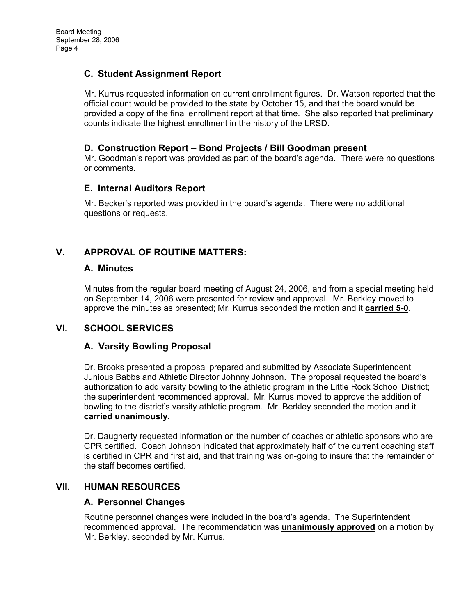# **C. Student Assignment Report**

Mr. Kurrus requested information on current enrollment figures. Dr. Watson reported that the official count would be provided to the state by October 15, and that the board would be provided a copy of the final enrollment report at that time. She also reported that preliminary counts indicate the highest enrollment in the history of the LRSD.

## **D. Construction Report – Bond Projects / Bill Goodman present**

Mr. Goodman's report was provided as part of the board's agenda. There were no questions or comments.

## **E. Internal Auditors Report**

Mr. Becker's reported was provided in the board's agenda. There were no additional questions or requests.

# **V. APPROVAL OF ROUTINE MATTERS:**

#### **A. Minutes**

Minutes from the regular board meeting of August 24, 2006, and from a special meeting held on September 14, 2006 were presented for review and approval. Mr. Berkley moved to approve the minutes as presented; Mr. Kurrus seconded the motion and it **carried 5-0**.

# **VI. SCHOOL SERVICES**

## **A. Varsity Bowling Proposal**

Dr. Brooks presented a proposal prepared and submitted by Associate Superintendent Junious Babbs and Athletic Director Johnny Johnson. The proposal requested the board's authorization to add varsity bowling to the athletic program in the Little Rock School District; the superintendent recommended approval. Mr. Kurrus moved to approve the addition of bowling to the district's varsity athletic program. Mr. Berkley seconded the motion and it **carried unanimously**.

Dr. Daugherty requested information on the number of coaches or athletic sponsors who are CPR certified. Coach Johnson indicated that approximately half of the current coaching staff is certified in CPR and first aid, and that training was on-going to insure that the remainder of the staff becomes certified.

## **VII. HUMAN RESOURCES**

## **A. Personnel Changes**

Routine personnel changes were included in the board's agenda. The Superintendent recommended approval. The recommendation was **unanimously approved** on a motion by Mr. Berkley, seconded by Mr. Kurrus.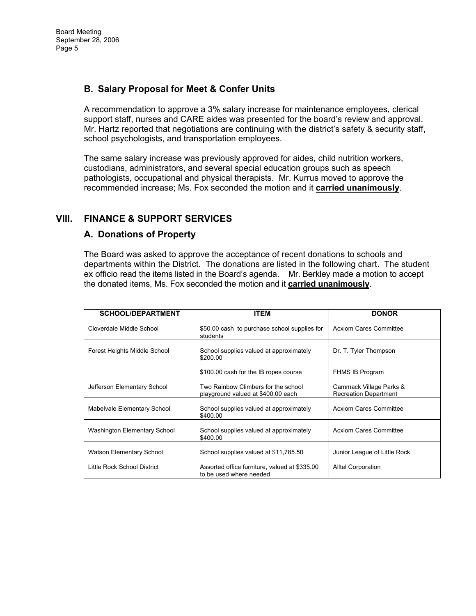# **B. Salary Proposal for Meet & Confer Units**

A recommendation to approve a 3% salary increase for maintenance employees, clerical support staff, nurses and CARE aides was presented for the board's review and approval. Mr. Hartz reported that negotiations are continuing with the district's safety & security staff, school psychologists, and transportation employees.

The same salary increase was previously approved for aides, child nutrition workers, custodians, administrators, and several special education groups such as speech pathologists, occupational and physical therapists. Mr. Kurrus moved to approve the recommended increase; Ms. Fox seconded the motion and it **carried unanimously**.

# **VIII. FINANCE & SUPPORT SERVICES**

# **A. Donations of Property**

The Board was asked to approve the acceptance of recent donations to schools and departments within the District. The donations are listed in the following chart. The student ex officio read the items listed in the Board's agenda. Mr. Berkley made a motion to accept the donated items, Ms. Fox seconded the motion and it **carried unanimously**.

| <b>SCHOOL/DEPARTMENT</b>     | <b>ITEM</b>                                                               | <b>DONOR</b>                                            |
|------------------------------|---------------------------------------------------------------------------|---------------------------------------------------------|
| Cloverdale Middle School     | \$50.00 cash to purchase school supplies for<br>students                  | <b>Acxiom Cares Committee</b>                           |
| Forest Heights Middle School | School supplies valued at approximately<br>\$200.00                       | Dr. T. Tyler Thompson                                   |
|                              | \$100.00 cash for the IB ropes course                                     | <b>FHMS IB Program</b>                                  |
| Jefferson Elementary School  | Two Rainbow Climbers for the school<br>playground valued at \$400.00 each | Cammack Village Parks &<br><b>Recreation Department</b> |
| Mabelvale Elementary School  | School supplies valued at approximately<br>\$400.00                       | <b>Acxiom Cares Committee</b>                           |
| Washington Elementary School | School supplies valued at approximately<br>\$400.00                       | <b>Acxiom Cares Committee</b>                           |
| Watson Elementary School     | School supplies valued at \$11,785.50                                     | Junior League of Little Rock                            |
| Little Rock School District  | Assorted office furniture, valued at \$335.00<br>to be used where needed  | <b>Alltel Corporation</b>                               |